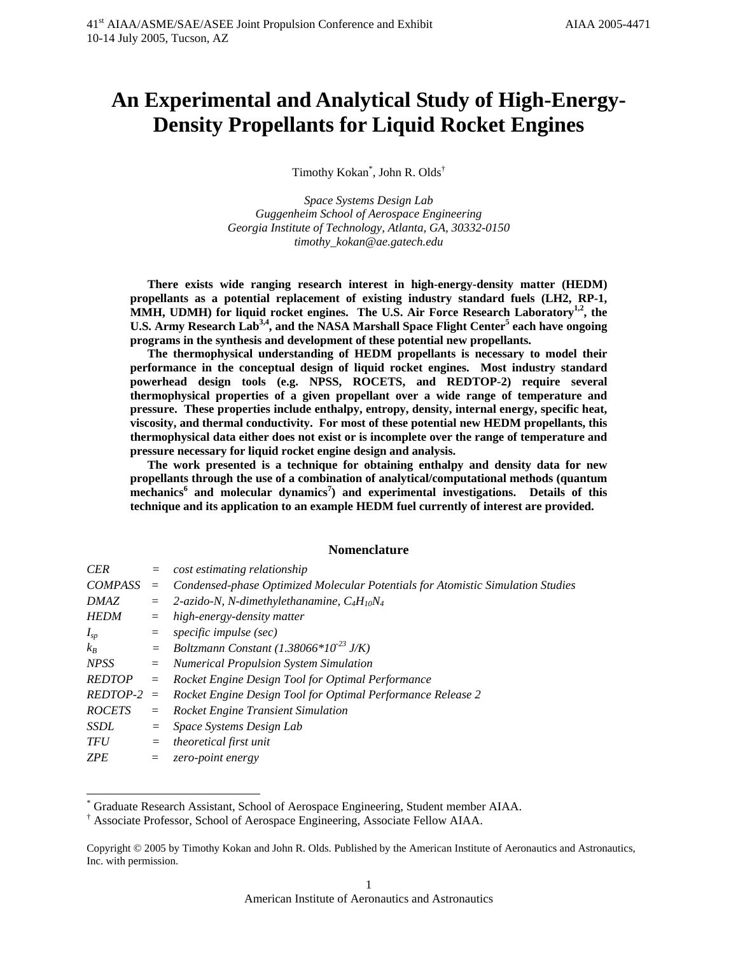# **An Experimental and Analytical Study of High-Energy-Density Propellants for Liquid Rocket Engines**

Timothy Kokan\* , John R. Olds†

*Space Systems Design Lab Guggenheim School of Aerospace Engineering Georgia Institute of Technology, Atlanta, GA, 30332-0150 timothy\_kokan@ae.gatech.edu* 

**There exists wide ranging research interest in high-energy-density matter (HEDM) propellants as a potential replacement of existing industry standard fuels (LH2, RP-1,**  MMH, UDMH) for liquid rocket engines. The U.S. Air Force Research Laboratory<sup>1,2</sup>, the U.S. Army Research Lab<sup>3,4</sup>, and the NASA Marshall Space Flight Center<sup>5</sup> each have ongoing **programs in the synthesis and development of these potential new propellants.** 

**The thermophysical understanding of HEDM propellants is necessary to model their performance in the conceptual design of liquid rocket engines. Most industry standard powerhead design tools (e.g. NPSS, ROCETS, and REDTOP-2) require several thermophysical properties of a given propellant over a wide range of temperature and pressure. These properties include enthalpy, entropy, density, internal energy, specific heat, viscosity, and thermal conductivity. For most of these potential new HEDM propellants, this thermophysical data either does not exist or is incomplete over the range of temperature and pressure necessary for liquid rocket engine design and analysis.** 

**The work presented is a technique for obtaining enthalpy and density data for new propellants through the use of a combination of analytical/computational methods (quantum**  mechanics<sup>6</sup> and molecular dynamics<sup>7</sup>) and experimental investigations. Details of this **technique and its application to an example HEDM fuel currently of interest are provided.** 

## **Nomenclature**

| <b>CER</b>     | $=$ | cost estimating relationship                                                    |
|----------------|-----|---------------------------------------------------------------------------------|
| <b>COMPASS</b> | $=$ | Condensed-phase Optimized Molecular Potentials for Atomistic Simulation Studies |
| <b>DMAZ</b>    | $=$ | 2-azido-N, N-dimethylethanamine, $C_4H_{10}N_4$                                 |
| <b>HEDM</b>    | $=$ | high-energy-density matter                                                      |
| $I_{sp}$       | $=$ | specific impulse (sec)                                                          |
| $k_B$          | $=$ | Boltzmann Constant (1.38066*10 <sup>-23</sup> J/K)                              |
| <b>NPSS</b>    | $=$ | <b>Numerical Propulsion System Simulation</b>                                   |
| <b>REDTOP</b>  | $=$ | Rocket Engine Design Tool for Optimal Performance                               |
| $REDTOP-2 =$   |     | Rocket Engine Design Tool for Optimal Performance Release 2                     |
| <b>ROCETS</b>  | $=$ | <b>Rocket Engine Transient Simulation</b>                                       |
| <i>SSDL</i>    | $=$ | Space Systems Design Lab                                                        |
| <b>TFU</b>     | $=$ | theoretical first unit                                                          |
| <b>ZPE</b>     |     | zero-point energy                                                               |

<sup>\*</sup> Graduate Research Assistant, School of Aerospace Engineering, Student member AIAA.

 $\overline{a}$ 

<sup>†</sup> Associate Professor, School of Aerospace Engineering, Associate Fellow AIAA.

Copyright © 2005 by Timothy Kokan and John R. Olds. Published by the American Institute of Aeronautics and Astronautics, Inc. with permission.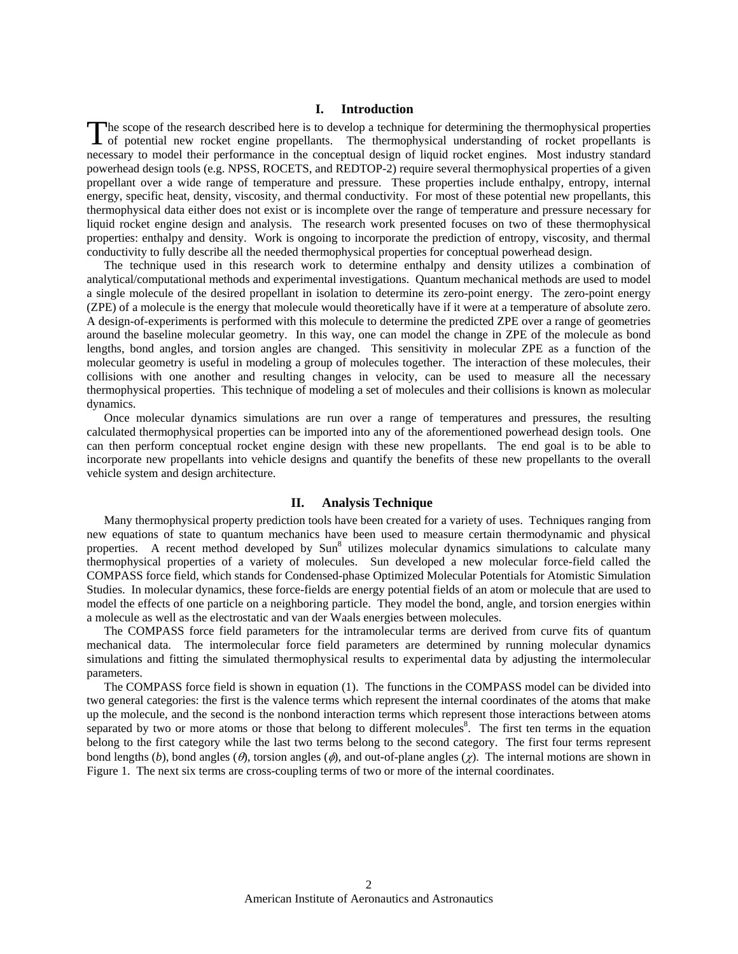## **I. Introduction**

The scope of the research described here is to develop a technique for determining the thermophysical properties of potential new rocket engine propellants. The thermophysical understanding of rocket propellants is of potential new rocket engine propellants. The thermophysical understanding of rocket propellants is necessary to model their performance in the conceptual design of liquid rocket engines. Most industry standard powerhead design tools (e.g. NPSS, ROCETS, and REDTOP-2) require several thermophysical properties of a given propellant over a wide range of temperature and pressure. These properties include enthalpy, entropy, internal energy, specific heat, density, viscosity, and thermal conductivity. For most of these potential new propellants, this thermophysical data either does not exist or is incomplete over the range of temperature and pressure necessary for liquid rocket engine design and analysis. The research work presented focuses on two of these thermophysical properties: enthalpy and density. Work is ongoing to incorporate the prediction of entropy, viscosity, and thermal conductivity to fully describe all the needed thermophysical properties for conceptual powerhead design.

The technique used in this research work to determine enthalpy and density utilizes a combination of analytical/computational methods and experimental investigations. Quantum mechanical methods are used to model a single molecule of the desired propellant in isolation to determine its zero-point energy. The zero-point energy (ZPE) of a molecule is the energy that molecule would theoretically have if it were at a temperature of absolute zero. A design-of-experiments is performed with this molecule to determine the predicted ZPE over a range of geometries around the baseline molecular geometry. In this way, one can model the change in ZPE of the molecule as bond lengths, bond angles, and torsion angles are changed. This sensitivity in molecular ZPE as a function of the molecular geometry is useful in modeling a group of molecules together. The interaction of these molecules, their collisions with one another and resulting changes in velocity, can be used to measure all the necessary thermophysical properties. This technique of modeling a set of molecules and their collisions is known as molecular dynamics.

Once molecular dynamics simulations are run over a range of temperatures and pressures, the resulting calculated thermophysical properties can be imported into any of the aforementioned powerhead design tools. One can then perform conceptual rocket engine design with these new propellants. The end goal is to be able to incorporate new propellants into vehicle designs and quantify the benefits of these new propellants to the overall vehicle system and design architecture.

## **II. Analysis Technique**

Many thermophysical property prediction tools have been created for a variety of uses. Techniques ranging from new equations of state to quantum mechanics have been used to measure certain thermodynamic and physical properties. A recent method developed by Sun<sup>8</sup> utilizes molecular dynamics simulations to calculate many thermophysical properties of a variety of molecules. Sun developed a new molecular force-field called the COMPASS force field, which stands for Condensed-phase Optimized Molecular Potentials for Atomistic Simulation Studies. In molecular dynamics, these force-fields are energy potential fields of an atom or molecule that are used to model the effects of one particle on a neighboring particle. They model the bond, angle, and torsion energies within a molecule as well as the electrostatic and van der Waals energies between molecules.

The COMPASS force field parameters for the intramolecular terms are derived from curve fits of quantum mechanical data. The intermolecular force field parameters are determined by running molecular dynamics simulations and fitting the simulated thermophysical results to experimental data by adjusting the intermolecular parameters.

The COMPASS force field is shown in equation (1). The functions in the COMPASS model can be divided into two general categories: the first is the valence terms which represent the internal coordinates of the atoms that make up the molecule, and the second is the nonbond interaction terms which represent those interactions between atoms separated by two or more atoms or those that belong to different molecules<sup>8</sup>. The first ten terms in the equation belong to the first category while the last two terms belong to the second category. The first four terms represent bond lengths (b), bond angles ( $\theta$ ), torsion angles ( $\phi$ ), and out-of-plane angles ( $\gamma$ ). The internal motions are shown in Figure 1. The next six terms are cross-coupling terms of two or more of the internal coordinates.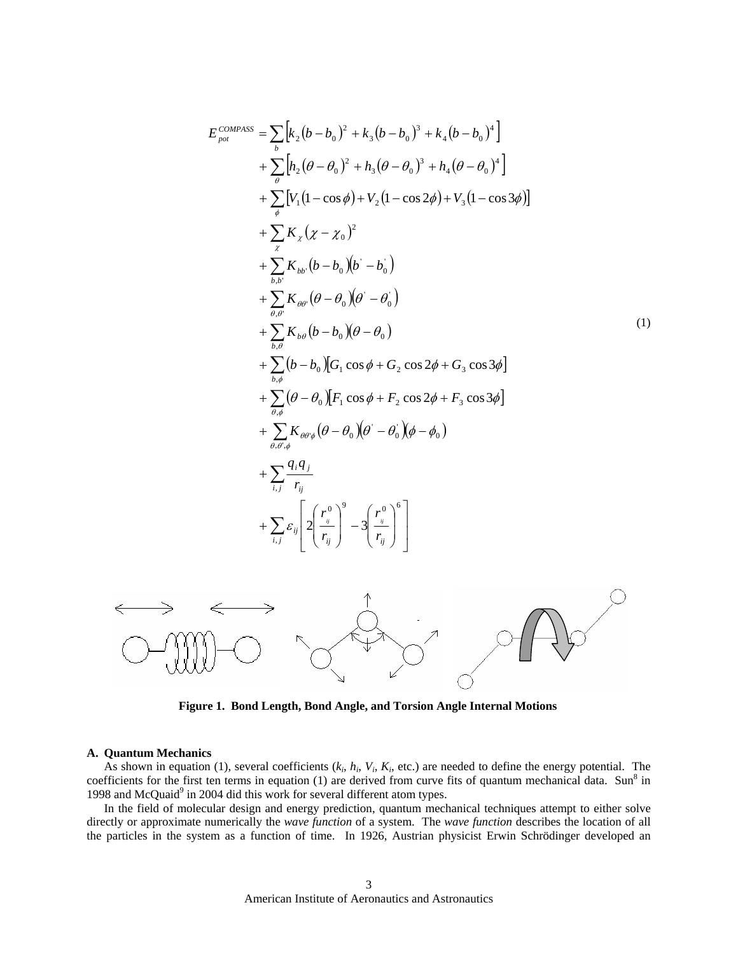$$
E_{pot}^{COMASS} = \sum_{b} [k_{2}(b - b_{0})^{2} + k_{3}(b - b_{0})^{3} + k_{4}(b - b_{0})^{4}]
$$
  
+ 
$$
\sum_{\theta} [h_{2}(\theta - \theta_{0})^{2} + h_{3}(\theta - \theta_{0})^{3} + h_{4}(\theta - \theta_{0})^{4}]
$$
  
+ 
$$
\sum_{\theta} [V_{1}(1 - \cos \phi) + V_{2}(1 - \cos 2\phi) + V_{3}(1 - \cos 3\phi)]
$$
  
+ 
$$
\sum_{\theta} K_{\theta} (\chi - \chi_{0})^{2}
$$
  
+ 
$$
\sum_{b,b} K_{bb} (b - b_{0})(b - b_{0})
$$
  
+ 
$$
\sum_{\theta, \theta} K_{\theta\theta} (\theta - \theta_{0})(\theta - \theta_{0})
$$
  
+ 
$$
\sum_{b,\theta} K_{bb} (\theta - b_{0})(\theta - \theta_{0})
$$
  
+ 
$$
\sum_{b,\theta} (b - b_{0})(\sigma_{1} \cos \phi + \sigma_{2} \cos 2\phi + \sigma_{3} \cos 3\phi)
$$
  
+ 
$$
\sum_{\theta, \phi} (\theta - \theta_{0}) [F_{1} \cos \phi + F_{2} \cos 2\phi + F_{3} \cos 3\phi]
$$
  
+ 
$$
\sum_{\theta, \theta, \phi} K_{\theta\theta\phi} (\theta - \theta_{0})(\theta - \theta_{0}) (\phi - \theta_{0})
$$
  
+ 
$$
\sum_{i,j} \sum_{r_{ij}} K_{\theta\theta\phi} (\theta - \theta_{0})(\theta - \theta_{0})^{\delta}
$$
  
+ 
$$
\sum_{i,j} \epsilon_{ij} \left[ 2 \left( \frac{r_{ij}^{0}}{r_{ij}} \right)^{\delta} - 3 \left( \frac{r_{ij}^{0}}{r_{ij}} \right)^{\delta} \right]
$$



**Figure 1. Bond Length, Bond Angle, and Torsion Angle Internal Motions** 

#### **A. Quantum Mechanics**

As shown in equation (1), several coefficients (*ki*, *hi*, *Vi*, *Ki*, etc.) are needed to define the energy potential. The coefficients for the first ten terms in equation  $(1)$  are derived from curve fits of quantum mechanical data. Sun<sup>8</sup> in 1998 and McQuaid<sup>9</sup> in 2004 did this work for several different atom types.

In the field of molecular design and energy prediction, quantum mechanical techniques attempt to either solve directly or approximate numerically the *wave function* of a system. The *wave function* describes the location of all the particles in the system as a function of time. In 1926, Austrian physicist Erwin Schrödinger developed an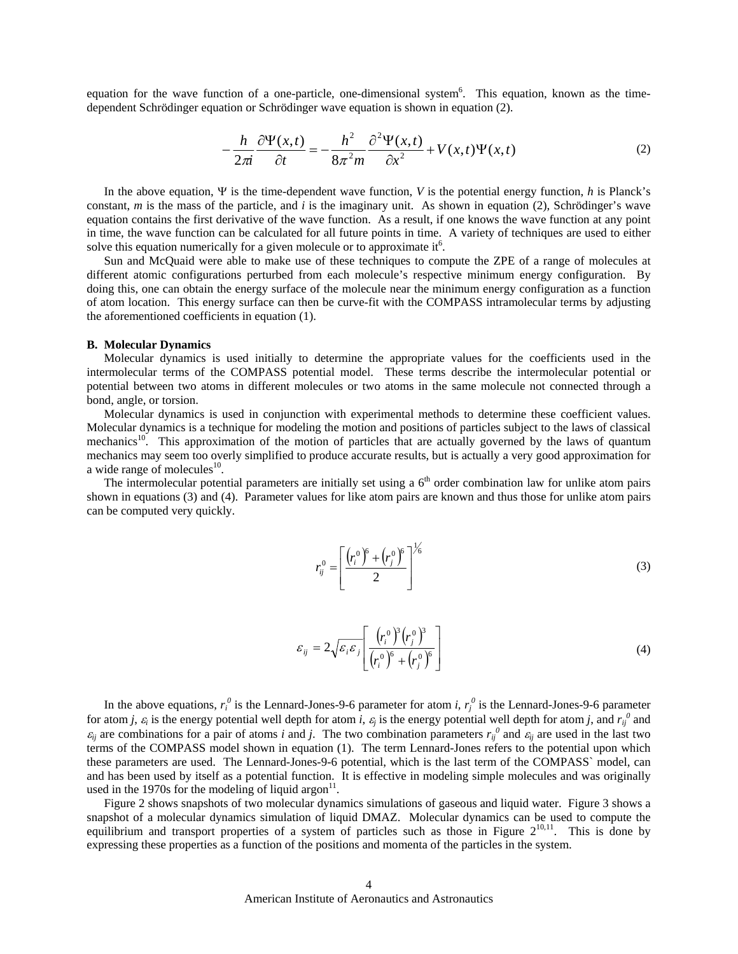equation for the wave function of a one-particle, one-dimensional system<sup>6</sup>. This equation, known as the timedependent Schrödinger equation or Schrödinger wave equation is shown in equation (2).

$$
-\frac{h}{2\pi i}\frac{\partial \Psi(x,t)}{\partial t} = -\frac{h^2}{8\pi^2 m}\frac{\partial^2 \Psi(x,t)}{\partial x^2} + V(x,t)\Psi(x,t)
$$
 (2)

In the above equation, Ψ is the time-dependent wave function, *V* is the potential energy function, *h* is Planck's constant, *m* is the mass of the particle, and *i* is the imaginary unit. As shown in equation (2), Schrödinger's wave equation contains the first derivative of the wave function. As a result, if one knows the wave function at any point in time, the wave function can be calculated for all future points in time. A variety of techniques are used to either solve this equation numerically for a given molecule or to approximate  $it<sup>6</sup>$ .

Sun and McQuaid were able to make use of these techniques to compute the ZPE of a range of molecules at different atomic configurations perturbed from each molecule's respective minimum energy configuration. By doing this, one can obtain the energy surface of the molecule near the minimum energy configuration as a function of atom location. This energy surface can then be curve-fit with the COMPASS intramolecular terms by adjusting the aforementioned coefficients in equation (1).

#### **B. Molecular Dynamics**

Molecular dynamics is used initially to determine the appropriate values for the coefficients used in the intermolecular terms of the COMPASS potential model. These terms describe the intermolecular potential or potential between two atoms in different molecules or two atoms in the same molecule not connected through a bond, angle, or torsion.

Molecular dynamics is used in conjunction with experimental methods to determine these coefficient values. Molecular dynamics is a technique for modeling the motion and positions of particles subject to the laws of classical mechanics<sup>10</sup>. This approximation of the motion of particles that are actually governed by the laws of quantum mechanics may seem too overly simplified to produce accurate results, but is actually a very good approximation for a wide range of molecules $^{10}$ .

The intermolecular potential parameters are initially set using a  $6<sup>th</sup>$  order combination law for unlike atom pairs shown in equations (3) and (4). Parameter values for like atom pairs are known and thus those for unlike atom pairs can be computed very quickly.

$$
r_{ij}^0 = \left[ \frac{\left( r_i^0 \right)^6 + \left( r_j^0 \right)^6}{2} \right]^{1/6} \tag{3}
$$

$$
\varepsilon_{ij} = 2\sqrt{\varepsilon_i \varepsilon_j} \left[ \frac{\left(r_i^0\right)^3 \left(r_j^0\right)^3}{\left(r_i^0\right)^6 + \left(r_j^0\right)^6} \right] \tag{4}
$$

In the above equations,  $r_i^0$  is the Lennard-Jones-9-6 parameter for atom *i*,  $r_j^0$  is the Lennard-Jones-9-6 parameter for atom *j*,  $\varepsilon_i$  is the energy potential well depth for atom *i*,  $\varepsilon_j$  is the energy potential well depth for atom *j*, and  $r_{ij}^0$  and  $\varepsilon_{ij}$  are combinations for a pair of atoms *i* and *j*. The two combination parameters  $r_{ij}^0$  and  $\varepsilon_{ij}$  are used in the last two terms of the COMPASS model shown in equation (1). The term Lennard-Jones refers to the potential upon which these parameters are used. The Lennard-Jones-9-6 potential, which is the last term of the COMPASS` model, can and has been used by itself as a potential function. It is effective in modeling simple molecules and was originally used in the 1970s for the modeling of liquid argon $^{11}$ .

Figure 2 shows snapshots of two molecular dynamics simulations of gaseous and liquid water. Figure 3 shows a snapshot of a molecular dynamics simulation of liquid DMAZ. Molecular dynamics can be used to compute the equilibrium and transport properties of a system of particles such as those in Figure  $2^{10,11}$ . This is done by expressing these properties as a function of the positions and momenta of the particles in the system.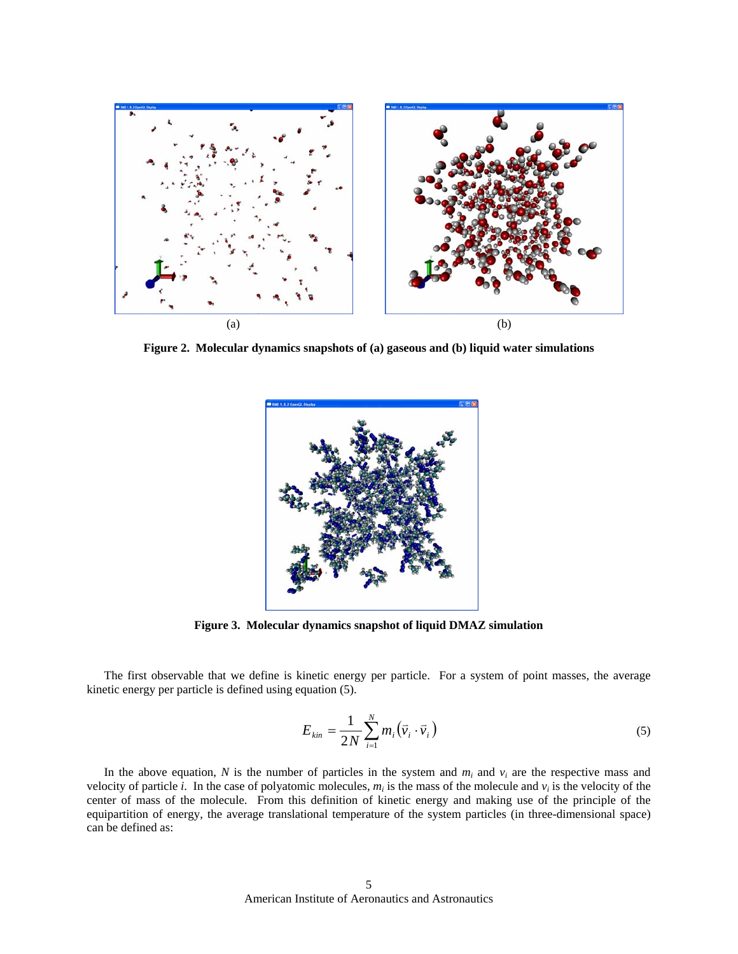

**Figure 2. Molecular dynamics snapshots of (a) gaseous and (b) liquid water simulations** 



**Figure 3. Molecular dynamics snapshot of liquid DMAZ simulation** 

The first observable that we define is kinetic energy per particle. For a system of point masses, the average kinetic energy per particle is defined using equation (5).

$$
E_{kin} = \frac{1}{2N} \sum_{i=1}^{N} m_i \left(\vec{v}_i \cdot \vec{v}_i\right)
$$
\n<sup>(5)</sup>

In the above equation,  $N$  is the number of particles in the system and  $m_i$  and  $v_i$  are the respective mass and velocity of particle *i*. In the case of polyatomic molecules,  $m_i$  is the mass of the molecule and  $v_i$  is the velocity of the center of mass of the molecule. From this definition of kinetic energy and making use of the principle of the equipartition of energy, the average translational temperature of the system particles (in three-dimensional space) can be defined as: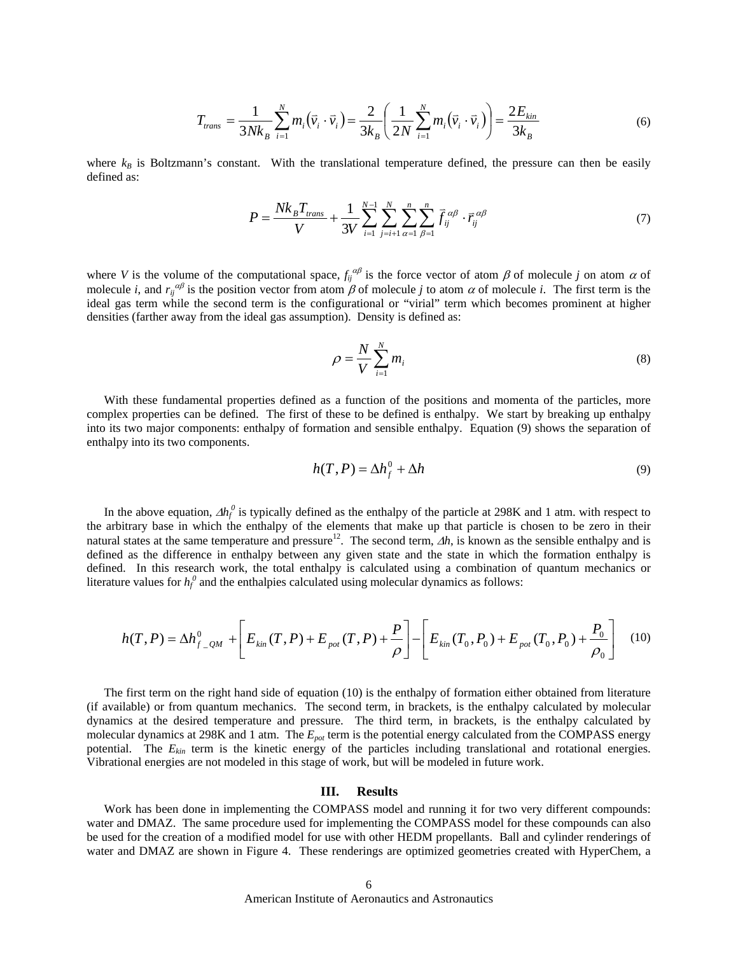$$
T_{trans} = \frac{1}{3Nk_B} \sum_{i=1}^{N} m_i (\vec{v}_i \cdot \vec{v}_i) = \frac{2}{3k_B} \left( \frac{1}{2N} \sum_{i=1}^{N} m_i (\vec{v}_i \cdot \vec{v}_i) \right) = \frac{2E_{kin}}{3k_B}
$$
(6)

where  $k_B$  is Boltzmann's constant. With the translational temperature defined, the pressure can then be easily defined as:

$$
P = \frac{Nk_B T_{trans}}{V} + \frac{1}{3V} \sum_{i=1}^{N-1} \sum_{j=i+1}^{N} \sum_{\alpha=1}^{n} \sum_{\beta=1}^{n} \vec{f}_{ij}^{\alpha\beta} \cdot \vec{r}_{ij}^{\alpha\beta} \tag{7}
$$

where *V* is the volume of the computational space,  $f_{ij}^{\alpha\beta}$  is the force vector of atom  $\beta$  of molecule *j* on atom  $\alpha$  of molecule *i*, and  $r_{ij}^{\alpha\beta}$  is the position vector from atom  $\beta$  of molecule *j* to atom  $\alpha$  of molecule *i*. The first term is the ideal gas term while the second term is the configurational or "virial" term which becomes prominent at higher densities (farther away from the ideal gas assumption). Density is defined as:

$$
\rho = \frac{N}{V} \sum_{i=1}^{N} m_i \tag{8}
$$

 With these fundamental properties defined as a function of the positions and momenta of the particles, more complex properties can be defined. The first of these to be defined is enthalpy. We start by breaking up enthalpy into its two major components: enthalpy of formation and sensible enthalpy. Equation (9) shows the separation of enthalpy into its two components.

$$
h(T, P) = \Delta h_f^0 + \Delta h \tag{9}
$$

In the above equation,  $\Delta h_f^0$  is typically defined as the enthalpy of the particle at 298K and 1 atm. with respect to the arbitrary base in which the enthalpy of the elements that make up that particle is chosen to be zero in their natural states at the same temperature and pressure<sup>12</sup>. The second term,  $\Delta h$ , is known as the sensible enthalpy and is defined as the difference in enthalpy between any given state and the state in which the formation enthalpy is defined. In this research work, the total enthalpy is calculated using a combination of quantum mechanics or literature values for  $h_f^0$  and the enthalpies calculated using molecular dynamics as follows:

$$
h(T, P) = \Delta h_{f_2}^0 + \left[ E_{kin}(T, P) + E_{pot}(T, P) + \frac{P}{\rho} \right] - \left[ E_{kin}(T_0, P_0) + E_{pot}(T_0, P_0) + \frac{P_0}{\rho_0} \right]
$$
(10)

The first term on the right hand side of equation (10) is the enthalpy of formation either obtained from literature (if available) or from quantum mechanics. The second term, in brackets, is the enthalpy calculated by molecular dynamics at the desired temperature and pressure. The third term, in brackets, is the enthalpy calculated by molecular dynamics at 298K and 1 atm. The *Epot* term is the potential energy calculated from the COMPASS energy potential. The  $E_{kin}$  term is the kinetic energy of the particles including translational and rotational energies. Vibrational energies are not modeled in this stage of work, but will be modeled in future work.

### **III. Results**

Work has been done in implementing the COMPASS model and running it for two very different compounds: water and DMAZ. The same procedure used for implementing the COMPASS model for these compounds can also be used for the creation of a modified model for use with other HEDM propellants. Ball and cylinder renderings of water and DMAZ are shown in Figure 4. These renderings are optimized geometries created with HyperChem, a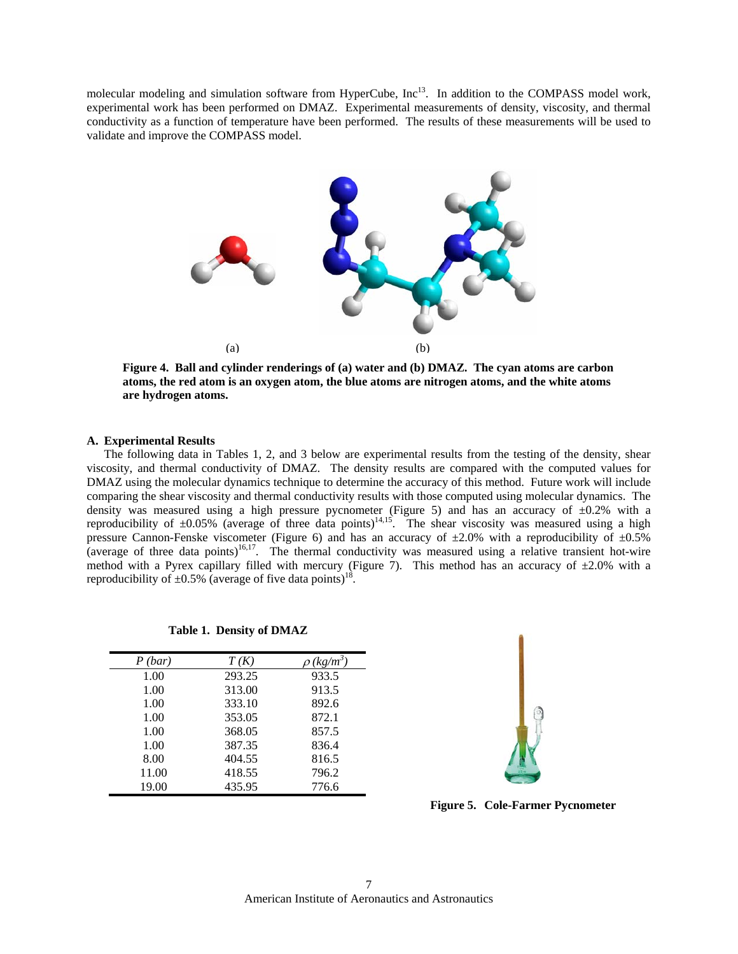molecular modeling and simulation software from HyperCube, Inc<sup>13</sup>. In addition to the COMPASS model work, experimental work has been performed on DMAZ. Experimental measurements of density, viscosity, and thermal conductivity as a function of temperature have been performed. The results of these measurements will be used to validate and improve the COMPASS model.



**Figure 4. Ball and cylinder renderings of (a) water and (b) DMAZ. The cyan atoms are carbon atoms, the red atom is an oxygen atom, the blue atoms are nitrogen atoms, and the white atoms are hydrogen atoms.** 

## **A. Experimental Results**

The following data in Tables 1, 2, and 3 below are experimental results from the testing of the density, shear viscosity, and thermal conductivity of DMAZ. The density results are compared with the computed values for DMAZ using the molecular dynamics technique to determine the accuracy of this method. Future work will include comparing the shear viscosity and thermal conductivity results with those computed using molecular dynamics. The density was measured using a high pressure pycnometer (Figure 5) and has an accuracy of  $\pm 0.2$ % with a reproducibility of  $\pm 0.05\%$  (average of three data points)<sup>14,15</sup>. The shear viscosity was measured using a high pressure Cannon-Fenske viscometer (Figure 6) and has an accuracy of  $\pm 2.0\%$  with a reproducibility of  $\pm 0.5\%$ (average of three data points)<sup>16,17</sup>. The thermal conductivity was measured using a relative transient hot-wire method with a Pyrex capillary filled with mercury (Figure 7). This method has an accuracy of  $\pm 2.0\%$  with a reproducibility of  $\pm 0.5\%$  (average of five data points)<sup>18</sup>.

| P(bar) | T(K)   | $\rho$ (kg/m <sup>3</sup> |
|--------|--------|---------------------------|
| 1.00   | 293.25 | 933.5                     |
| 1.00   | 313.00 | 913.5                     |
| 1.00   | 333.10 | 892.6                     |
| 1.00   | 353.05 | 872.1                     |
| 1.00   | 368.05 | 857.5                     |
| 1.00   | 387.35 | 836.4                     |
| 8.00   | 404.55 | 816.5                     |
| 11.00  | 418.55 | 796.2                     |
| 19.00  | 435.95 | 776.6                     |

**Table 1. Density of DMAZ**



**Figure 5. Cole-Farmer Pycnometer**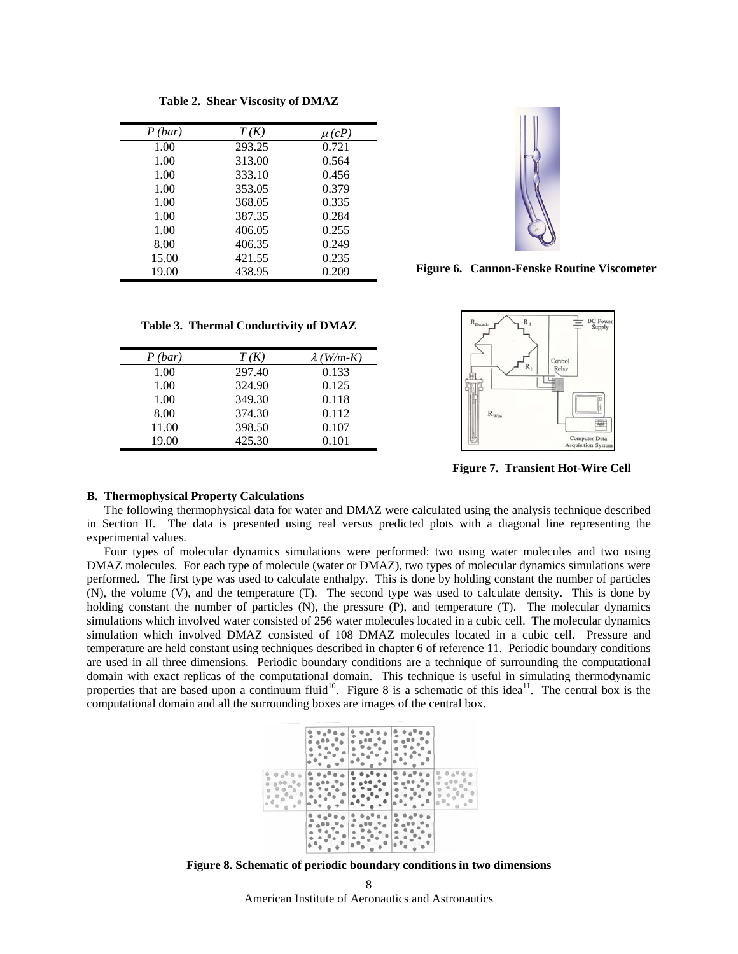| P(bar) | T(K)   | $\mu(cP)$ |
|--------|--------|-----------|
| 1.00   | 293.25 | 0.721     |
| 1.00   | 313.00 | 0.564     |
| 1.00   | 333.10 | 0.456     |
| 1.00   | 353.05 | 0.379     |
| 1.00   | 368.05 | 0.335     |
| 1.00   | 387.35 | 0.284     |
| 1.00   | 406.05 | 0.255     |
| 8.00   | 406.35 | 0.249     |
| 15.00  | 421.55 | 0.235     |
| 19.00  | 438.95 | 0.209     |

**Table 2. Shear Viscosity of DMAZ**



**Figure 6. Cannon-Fenske Routine Viscometer**

**Table 3. Thermal Conductivity of DMAZ**

| P(bar) | T(K)   | $\lambda$ (W/m-K) |
|--------|--------|-------------------|
| 1.00   | 297.40 | 0.133             |
| 1.00   | 324.90 | 0.125             |
| 1.00   | 349.30 | 0.118             |
| 8.00   | 374.30 | 0.112             |
| 11.00  | 398.50 | 0.107             |
| 19.00  | 425.30 | 0.101             |



**Figure 7. Transient Hot-Wire Cell** 

## **B. Thermophysical Property Calculations**

The following thermophysical data for water and DMAZ were calculated using the analysis technique described in Section II. The data is presented using real versus predicted plots with a diagonal line representing the experimental values.

Four types of molecular dynamics simulations were performed: two using water molecules and two using DMAZ molecules. For each type of molecule (water or DMAZ), two types of molecular dynamics simulations were performed. The first type was used to calculate enthalpy. This is done by holding constant the number of particles (N), the volume (V), and the temperature (T). The second type was used to calculate density. This is done by holding constant the number of particles (N), the pressure (P), and temperature (T). The molecular dynamics simulations which involved water consisted of 256 water molecules located in a cubic cell. The molecular dynamics simulation which involved DMAZ consisted of 108 DMAZ molecules located in a cubic cell. Pressure and temperature are held constant using techniques described in chapter 6 of reference 11. Periodic boundary conditions are used in all three dimensions. Periodic boundary conditions are a technique of surrounding the computational domain with exact replicas of the computational domain. This technique is useful in simulating thermodynamic properties that are based upon a continuum fluid<sup>10</sup>. Figure 8 is a schematic of this idea<sup>11</sup>. The central box is the computational domain and all the surrounding boxes are images of the central box.



**Figure 8. Schematic of periodic boundary conditions in two dimensions** 

American Institute of Aeronautics and Astronautics 8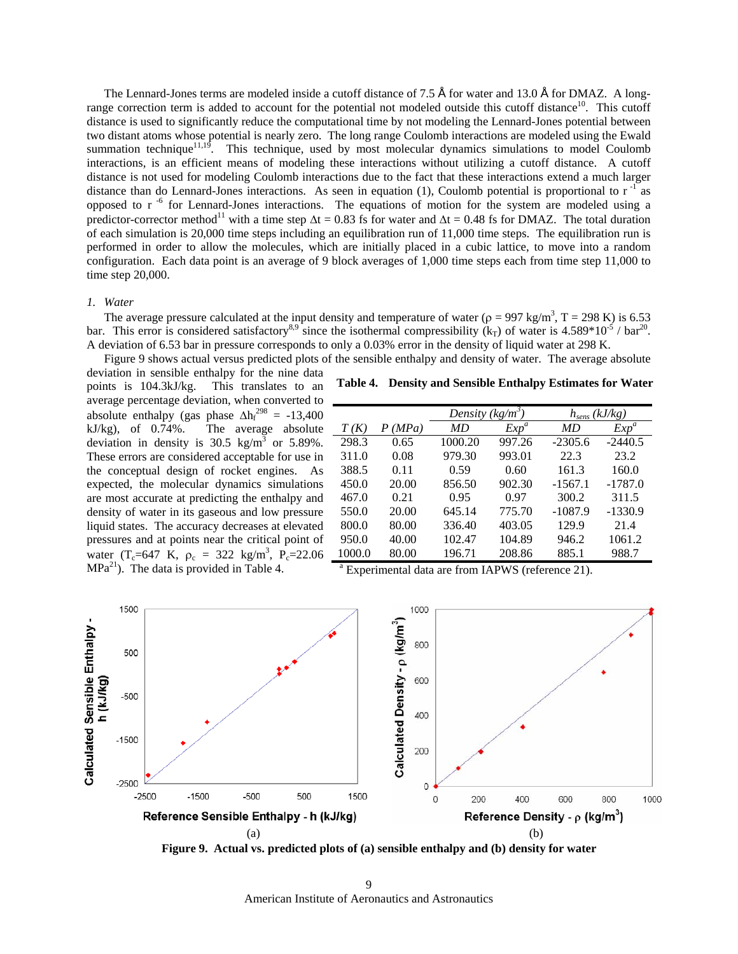The Lennard-Jones terms are modeled inside a cutoff distance of 7.5 Å for water and 13.0 Å for DMAZ. A longrange correction term is added to account for the potential not modeled outside this cutoff distance<sup>10</sup>. This cutoff distance is used to significantly reduce the computational time by not modeling the Lennard-Jones potential between two distant atoms whose potential is nearly zero. The long range Coulomb interactions are modeled using the Ewald summation technique<sup>11,19</sup>. This technique, used by most molecular dynamics simulations to model Coulomb interactions, is an efficient means of modeling these interactions without utilizing a cutoff distance. A cutoff distance is not used for modeling Coulomb interactions due to the fact that these interactions extend a much larger distance than do Lennard-Jones interactions. As seen in equation (1), Coulomb potential is proportional to  $r^{-1}$  as opposed to r<sup>-6</sup> for Lennard-Jones interactions. The equations of motion for the system are modeled using a predictor-corrector method<sup>11</sup> with a time step  $\Delta t = 0.83$  fs for water and  $\Delta t = 0.48$  fs for DMAZ. The total duration of each simulation is 20,000 time steps including an equilibration run of 11,000 time steps. The equilibration run is performed in order to allow the molecules, which are initially placed in a cubic lattice, to move into a random configuration. Each data point is an average of 9 block averages of 1,000 time steps each from time step 11,000 to time step 20,000.

## *1. Water*

The average pressure calculated at the input density and temperature of water ( $\rho = 997 \text{ kg/m}^3$ , T = 298 K) is 6.53 bar. This error is considered satisfactory<sup>8,9</sup> since the isothermal compressibility (k<sub>T</sub>) of water is 4.589\*10<sup>-5</sup> / bar<sup>20</sup>. A deviation of 6.53 bar in pressure corresponds to only a 0.03% error in the density of liquid water at 298 K.

Figure 9 shows actual versus predicted plots of the sensible enthalpy and density of water. The average absolute deviation in sensible enthalpy for the nine data

points is 104.3kJ/kg. This translates to an average percentage deviation, when converted to absolute enthalpy (gas phase  $\Delta h_f^{298} = -13,400$ kJ/kg), of 0.74%. The average absolute deviation in density is  $30.5 \text{ kg/m}^3$  or  $5.89\%$ . These errors are considered acceptable for use in the conceptual design of rocket engines. As expected, the molecular dynamics simulations are most accurate at predicting the enthalpy and density of water in its gaseous and low pressure liquid states. The accuracy decreases at elevated pressures and at points near the critical point of water (T<sub>c</sub>=647 K,  $\rho_c = 322 \text{ kg/m}^3$ , P<sub>c</sub>=22.06  $MPa<sup>21</sup>$ . The data is provided in Table 4.

|  | Table 4. Density and Sensible Enthalpy Estimates for Water |  |  |  |  |
|--|------------------------------------------------------------|--|--|--|--|
|--|------------------------------------------------------------|--|--|--|--|

|        |            | Density $(kg/m^3)$ |         | $h_{sens}$ (kJ/kg) |           |
|--------|------------|--------------------|---------|--------------------|-----------|
| T(K)   | (MPa)<br>Ρ | MD                 | $Exp^a$ | MD                 | $Exp^a$   |
| 298.3  | 0.65       | 1000.20            | 997.26  | $-2305.6$          | $-2440.5$ |
| 311.0  | 0.08       | 979.30             | 993.01  | 22.3               | 23.2      |
| 388.5  | 0.11       | 0.59               | 0.60    | 161.3              | 160.0     |
| 450.0  | 20.00      | 856.50             | 902.30  | $-1567.1$          | $-1787.0$ |
| 467.0  | 0.21       | 0.95               | 0.97    | 300.2              | 311.5     |
| 550.0  | 20.00      | 645.14             | 775.70  | $-1087.9$          | $-1330.9$ |
| 800.0  | 80.00      | 336.40             | 403.05  | 129.9              | 21.4      |
| 950.0  | 40.00      | 102.47             | 104.89  | 946.2              | 1061.2    |
| 1000.0 | 80.00      | 196.71             | 208.86  | 885.1              | 988.7     |
|        |            |                    |         |                    |           |

a Experimental data are from IAPWS (reference 21).



**Figure 9. Actual vs. predicted plots of (a) sensible enthalpy and (b) density for water** 

American Institute of Aeronautics and Astronautics 9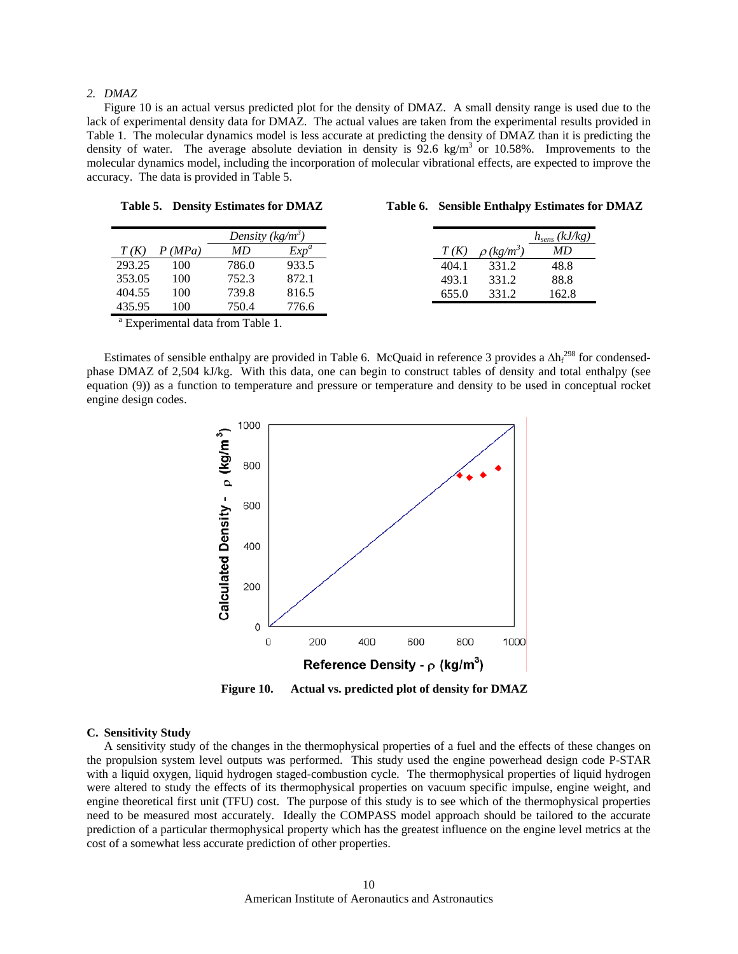# *2. DMAZ*

Figure 10 is an actual versus predicted plot for the density of DMAZ. A small density range is used due to the lack of experimental density data for DMAZ. The actual values are taken from the experimental results provided in Table 1. The molecular dynamics model is less accurate at predicting the density of DMAZ than it is predicting the density of water. The average absolute deviation in density is  $92.6 \text{ kg/m}^3$  or 10.58%. Improvements to the molecular dynamics model, including the incorporation of molecular vibrational effects, are expected to improve the accuracy. The data is provided in Table 5.

|        |        | Density $(kg/m^3)$ |         |  |
|--------|--------|--------------------|---------|--|
| T(K)   | P(MPa) | MD                 | $Exp^a$ |  |
| 293.25 | 100    | 786.0              | 933.5   |  |
| 353.05 | 100    | 752.3              | 872.1   |  |
| 404.55 | 100    | 739.8              | 816.5   |  |
| 435.95 | 100    | 750.4              | 776.6   |  |

**Table 5. Density Estimates for DMAZ** 

|  |  |  |  | Table 6. Sensible Enthalpy Estimates for DMAZ |
|--|--|--|--|-----------------------------------------------|
|--|--|--|--|-----------------------------------------------|

|       |                             | $h_{sens} (kJ/kg)$ |
|-------|-----------------------------|--------------------|
| T(K)  | $\rho$ (kg/m <sup>3</sup> ) | MD                 |
| 404.1 | 331.2                       | 48.8               |
| 493.1 | 331.2                       | 88.8               |
| 655.0 | 331.2                       | 162.8              |

<sup>a</sup> Experimental data from Table 1.

Estimates of sensible enthalpy are provided in Table 6. McQuaid in reference 3 provides a  $\Delta h_f^{298}$  for condensedphase DMAZ of 2,504 kJ/kg. With this data, one can begin to construct tables of density and total enthalpy (see equation (9)) as a function to temperature and pressure or temperature and density to be used in conceptual rocket engine design codes.



**Figure 10. Actual vs. predicted plot of density for DMAZ** 

### **C. Sensitivity Study**

A sensitivity study of the changes in the thermophysical properties of a fuel and the effects of these changes on the propulsion system level outputs was performed. This study used the engine powerhead design code P-STAR with a liquid oxygen, liquid hydrogen staged-combustion cycle. The thermophysical properties of liquid hydrogen were altered to study the effects of its thermophysical properties on vacuum specific impulse, engine weight, and engine theoretical first unit (TFU) cost. The purpose of this study is to see which of the thermophysical properties need to be measured most accurately. Ideally the COMPASS model approach should be tailored to the accurate prediction of a particular thermophysical property which has the greatest influence on the engine level metrics at the cost of a somewhat less accurate prediction of other properties.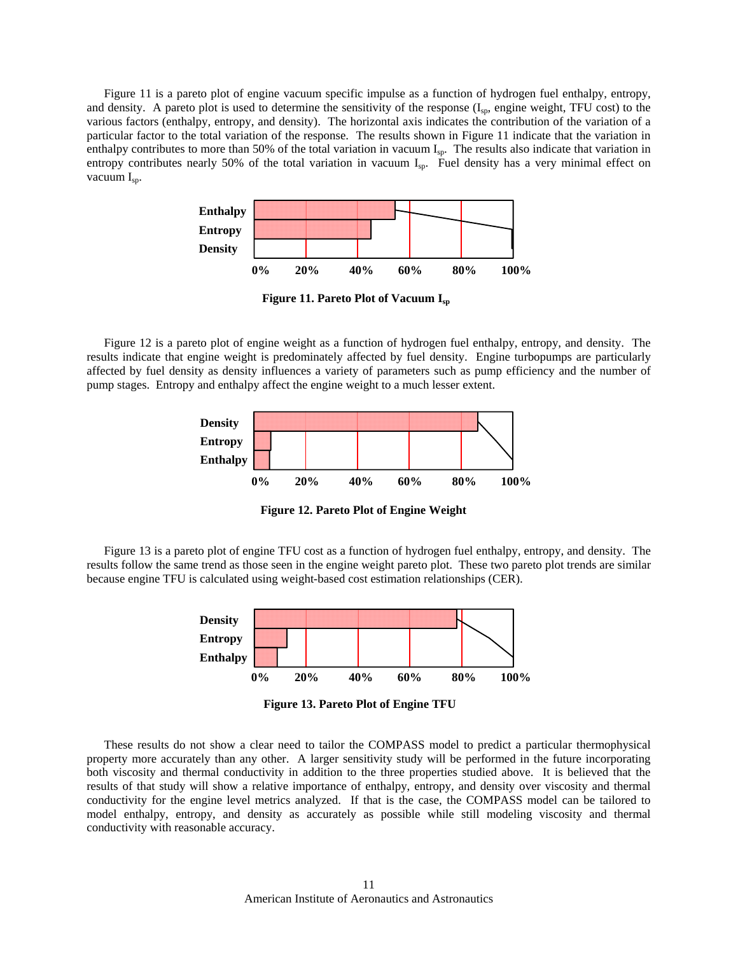Figure 11 is a pareto plot of engine vacuum specific impulse as a function of hydrogen fuel enthalpy, entropy, and density. A pareto plot is used to determine the sensitivity of the response  $(I_{sp}$ , engine weight, TFU cost) to the various factors (enthalpy, entropy, and density). The horizontal axis indicates the contribution of the variation of a particular factor to the total variation of the response. The results shown in Figure 11 indicate that the variation in enthalpy contributes to more than 50% of the total variation in vacuum  $I_{sp}$ . The results also indicate that variation in entropy contributes nearly 50% of the total variation in vacuum I<sub>sp</sub>. Fuel density has a very minimal effect on vacuum I<sub>sp</sub>.



**Figure 11. Pareto Plot of Vacuum Isp**

Figure 12 is a pareto plot of engine weight as a function of hydrogen fuel enthalpy, entropy, and density. The results indicate that engine weight is predominately affected by fuel density. Engine turbopumps are particularly affected by fuel density as density influences a variety of parameters such as pump efficiency and the number of pump stages. Entropy and enthalpy affect the engine weight to a much lesser extent.



**Figure 12. Pareto Plot of Engine Weight** 

Figure 13 is a pareto plot of engine TFU cost as a function of hydrogen fuel enthalpy, entropy, and density. The results follow the same trend as those seen in the engine weight pareto plot. These two pareto plot trends are similar because engine TFU is calculated using weight-based cost estimation relationships (CER).



**Figure 13. Pareto Plot of Engine TFU** 

These results do not show a clear need to tailor the COMPASS model to predict a particular thermophysical property more accurately than any other. A larger sensitivity study will be performed in the future incorporating both viscosity and thermal conductivity in addition to the three properties studied above. It is believed that the results of that study will show a relative importance of enthalpy, entropy, and density over viscosity and thermal conductivity for the engine level metrics analyzed. If that is the case, the COMPASS model can be tailored to model enthalpy, entropy, and density as accurately as possible while still modeling viscosity and thermal conductivity with reasonable accuracy.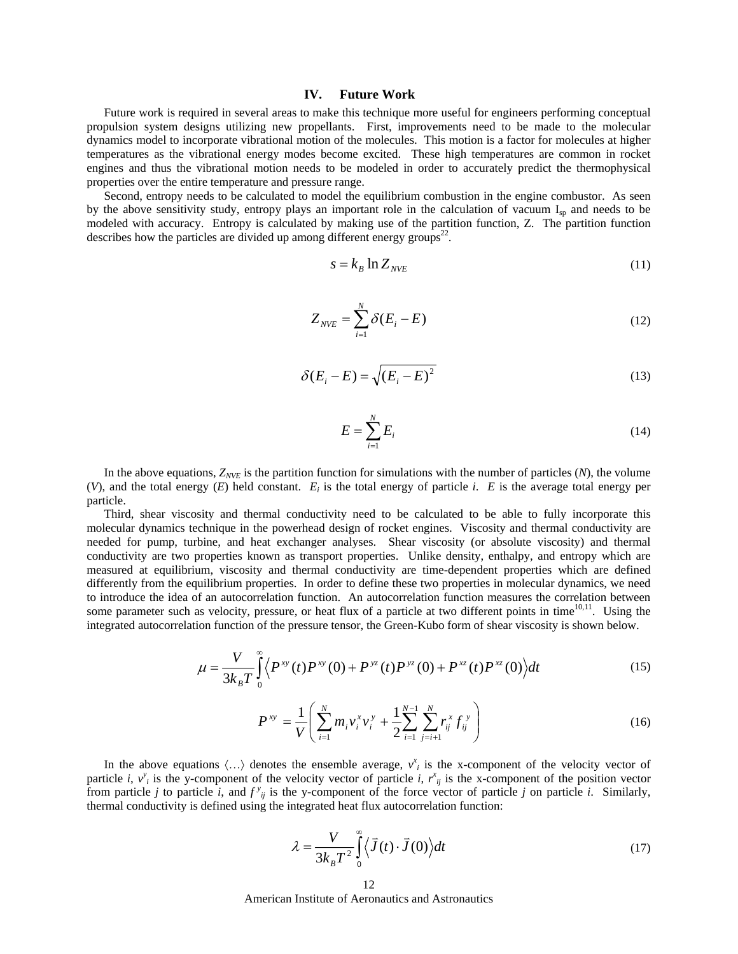## **IV. Future Work**

Future work is required in several areas to make this technique more useful for engineers performing conceptual propulsion system designs utilizing new propellants. First, improvements need to be made to the molecular dynamics model to incorporate vibrational motion of the molecules. This motion is a factor for molecules at higher temperatures as the vibrational energy modes become excited. These high temperatures are common in rocket engines and thus the vibrational motion needs to be modeled in order to accurately predict the thermophysical properties over the entire temperature and pressure range.

 Second, entropy needs to be calculated to model the equilibrium combustion in the engine combustor. As seen by the above sensitivity study, entropy plays an important role in the calculation of vacuum  $I_{sp}$  and needs to be modeled with accuracy. Entropy is calculated by making use of the partition function, Z. The partition function describes how the particles are divided up among different energy groups<sup>22</sup>.

$$
s = k_B \ln Z_{NVE}
$$
 (11)

$$
Z_{NVE} = \sum_{i=1}^{N} \delta(E_i - E) \tag{12}
$$

$$
\delta(E_i - E) = \sqrt{(E_i - E)^2}
$$
\n(13)

$$
E = \sum_{i=1}^{N} E_i \tag{14}
$$

In the above equations,  $Z_{NVE}$  is the partition function for simulations with the number of particles  $(N)$ , the volume (*V*), and the total energy (*E*) held constant. *Ei* is the total energy of particle *i*. *E* is the average total energy per particle.

 Third, shear viscosity and thermal conductivity need to be calculated to be able to fully incorporate this molecular dynamics technique in the powerhead design of rocket engines. Viscosity and thermal conductivity are needed for pump, turbine, and heat exchanger analyses. Shear viscosity (or absolute viscosity) and thermal conductivity are two properties known as transport properties. Unlike density, enthalpy, and entropy which are measured at equilibrium, viscosity and thermal conductivity are time-dependent properties which are defined differently from the equilibrium properties. In order to define these two properties in molecular dynamics, we need to introduce the idea of an autocorrelation function. An autocorrelation function measures the correlation between some parameter such as velocity, pressure, or heat flux of a particle at two different points in time<sup>10,11</sup>. Using the integrated autocorrelation function of the pressure tensor, the Green-Kubo form of shear viscosity is shown below.

$$
\mu = \frac{V}{3k_B T} \int_{0}^{\infty} \langle P^{xy}(t) P^{xy}(0) + P^{yz}(t) P^{yz}(0) + P^{xz}(t) P^{xz}(0) \rangle dt
$$
\n(15)

$$
P^{xy} = \frac{1}{V} \left( \sum_{i=1}^{N} m_i v_i^x v_i^y + \frac{1}{2} \sum_{i=1}^{N-1} \sum_{j=i+1}^{N} r_{ij}^x f_j^y \right)
$$
(16)

In the above equations  $\langle ... \rangle$  denotes the ensemble average,  $v_i^x$  is the x-component of the velocity vector of particle *i*,  $v_i^y$  is the y-component of the velocity vector of particle *i*,  $r_{ij}^x$  is the x-component of the position vector from particle *j* to particle *i*, and  $f^y{}_{ij}$  is the y-component of the force vector of particle *j* on particle *i*. Similarly, thermal conductivity is defined using the integrated heat flux autocorrelation function:

$$
\lambda = \frac{V}{3k_B T^2} \int_0^\infty \langle \bar{J}(t) \cdot \bar{J}(0) \rangle dt \tag{17}
$$

American Institute of Aeronautics and Astronautics 12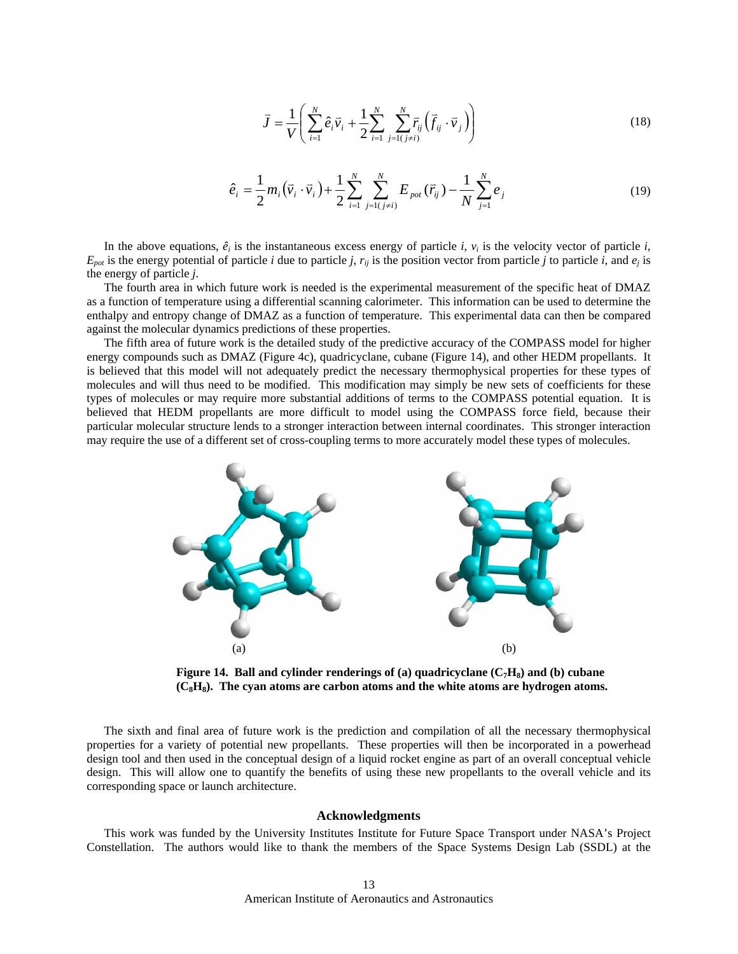$$
\bar{J} = \frac{1}{V} \left( \sum_{i=1}^{N} \hat{e}_i \vec{v}_i + \frac{1}{2} \sum_{i=1}^{N} \sum_{j=1 (j \neq i)}^{N} \overline{r}_{ij} \left( \vec{f}_{ij} \cdot \vec{v}_j \right) \right)
$$
(18)

$$
\hat{e}_i = \frac{1}{2} m_i \left( \vec{v}_i \cdot \vec{v}_i \right) + \frac{1}{2} \sum_{i=1}^N \sum_{j=1 \ (j \neq i)}^N E_{pot} \left( \vec{r}_{ij} \right) - \frac{1}{N} \sum_{j=1}^N e_j \tag{19}
$$

In the above equations,  $\hat{e}_i$  is the instantaneous excess energy of particle *i*,  $v_i$  is the velocity vector of particle *i*,  $E_{pot}$  is the energy potential of particle *i* due to particle *j*,  $r_{ij}$  is the position vector from particle *j* to particle *i*, and  $e_j$  is the energy of particle *j*.

The fourth area in which future work is needed is the experimental measurement of the specific heat of DMAZ as a function of temperature using a differential scanning calorimeter. This information can be used to determine the enthalpy and entropy change of DMAZ as a function of temperature. This experimental data can then be compared against the molecular dynamics predictions of these properties.

The fifth area of future work is the detailed study of the predictive accuracy of the COMPASS model for higher energy compounds such as DMAZ (Figure 4c), quadricyclane, cubane (Figure 14), and other HEDM propellants. It is believed that this model will not adequately predict the necessary thermophysical properties for these types of molecules and will thus need to be modified. This modification may simply be new sets of coefficients for these types of molecules or may require more substantial additions of terms to the COMPASS potential equation. It is believed that HEDM propellants are more difficult to model using the COMPASS force field, because their particular molecular structure lends to a stronger interaction between internal coordinates. This stronger interaction may require the use of a different set of cross-coupling terms to more accurately model these types of molecules.



**Figure 14. Ball and cylinder renderings of (a) quadricyclane**  $(C_7H_8)$  **and (b) cubane (C8H8). The cyan atoms are carbon atoms and the white atoms are hydrogen atoms.** 

The sixth and final area of future work is the prediction and compilation of all the necessary thermophysical properties for a variety of potential new propellants. These properties will then be incorporated in a powerhead design tool and then used in the conceptual design of a liquid rocket engine as part of an overall conceptual vehicle design. This will allow one to quantify the benefits of using these new propellants to the overall vehicle and its corresponding space or launch architecture.

#### **Acknowledgments**

This work was funded by the University Institutes Institute for Future Space Transport under NASA's Project Constellation. The authors would like to thank the members of the Space Systems Design Lab (SSDL) at the